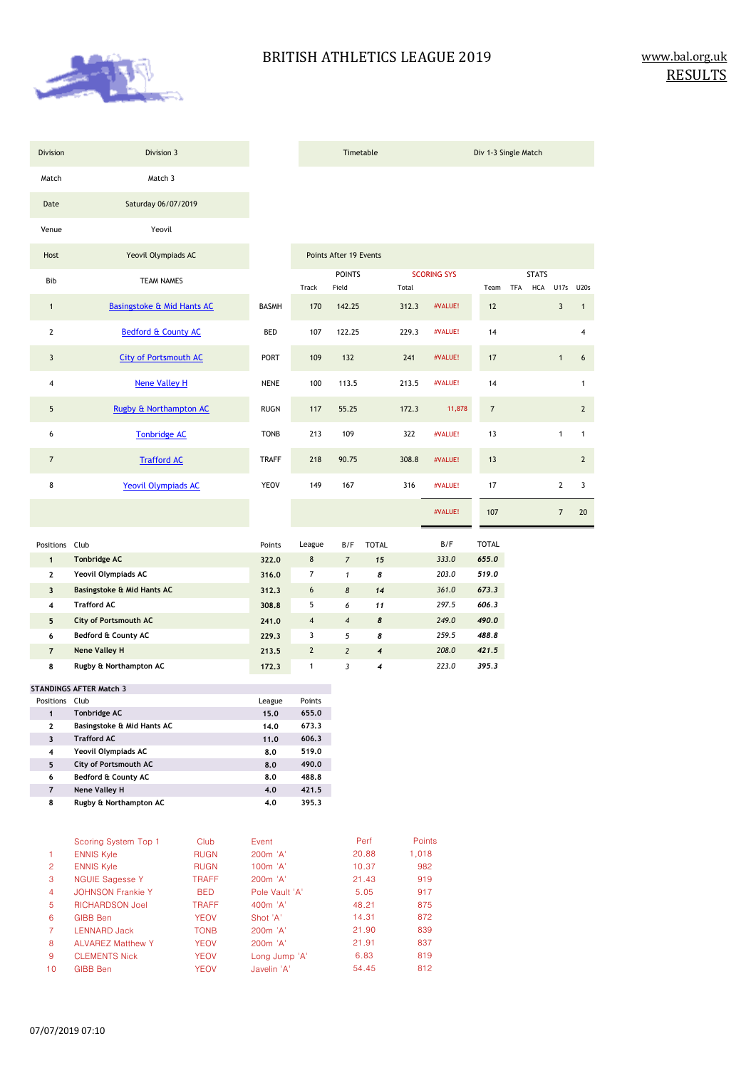

TFA HCA U17s U20s

3

2

2

1

20 7

1

6

4

| Division       | Division 3                            |              |              |                         | Timetable              |              |       |                    | Div 1-3 Single Match |     |                     |                |                |
|----------------|---------------------------------------|--------------|--------------|-------------------------|------------------------|--------------|-------|--------------------|----------------------|-----|---------------------|----------------|----------------|
| Match          | Match 3                               |              |              |                         |                        |              |       |                    |                      |     |                     |                |                |
| Date           | Saturday 06/07/2019                   |              |              |                         |                        |              |       |                    |                      |     |                     |                |                |
| Venue          | Yeovil                                |              |              |                         |                        |              |       |                    |                      |     |                     |                |                |
| Host           | Yeovil Olympiads AC                   |              |              |                         | Points After 19 Events |              |       |                    |                      |     |                     |                |                |
| <b>Bib</b>     | TEAM NAMES                            |              |              | Track                   | <b>POINTS</b><br>Field |              | Total | <b>SCORING SYS</b> | Team                 | TFA | <b>STATS</b><br>HCA | U17s U2        |                |
| $\mathbf{1}$   | <b>Basingstoke &amp; Mid Hants AC</b> |              | <b>BASMH</b> | 170                     | 142.25                 |              | 312.3 | #VALUE!            | 12                   |     |                     | 3              |                |
| $\mathbf{2}$   | Bedford & County AC                   |              | <b>BED</b>   | 107                     | 122.25                 |              | 229.3 | #VALUE!            | 14                   |     |                     |                |                |
| 3              | <b>City of Portsmouth AC</b>          |              | <b>PORT</b>  | 109                     | 132                    |              | 241   | #VALUE!            | 17                   |     |                     | $\mathbf{1}$   |                |
| 4              | <b>Nene Valley H</b>                  |              | <b>NENE</b>  | 100                     | 113.5                  |              | 213.5 | #VALUE!            | 14                   |     |                     |                |                |
| 5              | Rugby & Northampton AC                |              | <b>RUGN</b>  | 117                     | 55.25                  |              | 172.3 | 11,878             | $\overline{7}$       |     |                     |                |                |
| 6              | <b>Tonbridge AC</b>                   |              | <b>TONB</b>  | 213                     | 109                    |              | 322   | #VALUE!            | 13                   |     |                     | 1              |                |
| $\overline{7}$ | <b>Trafford AC</b>                    |              | <b>TRAFF</b> | 218                     | 90.75                  |              | 308.8 | #VALUE!            | 13                   |     |                     |                | 7              |
| 8              | <b>Yeovil Olympiads AC</b>            |              | <b>YEOV</b>  | 149                     | 167                    |              | 316   | #VALUE!            | 17                   |     |                     | $\mathbf{2}$   |                |
|                |                                       |              |              |                         |                        |              |       | #VALUE!            | 107                  |     |                     | $\overline{7}$ | $\overline{2}$ |
| Positions Club |                                       |              | Points       | League                  | B/F                    | <b>TOTAL</b> |       | B/F                | <b>TOTAL</b>         |     |                     |                |                |
| $\mathbf{1}$   | <b>Tonbridge AC</b>                   |              | 322.0        | 8                       | $\overline{7}$         | 15           |       | 333.0              | 655.0                |     |                     |                |                |
| $\mathbf{2}$   | Yeovil Olympiads AC                   |              | 316.0        | $\overline{7}$          | $\mathbf{1}$           | 8            |       | 203.0              | 519.0                |     |                     |                |                |
| 3              | Basingstoke & Mid Hants AC            |              | 312.3        | 6                       | $\pmb{8}$              | 14           |       | 361.0              | 673.3                |     |                     |                |                |
| 4              | <b>Trafford AC</b>                    |              | 308.8        | 5                       | 6                      | 11           |       | 297.5              | 606.3                |     |                     |                |                |
| 5              | <b>City of Portsmouth AC</b>          |              | 241.0        | $\overline{\mathbf{4}}$ | $\overline{4}$         | 8            |       | 249.0              | 490.0                |     |                     |                |                |
| 6              | Bedford & County AC                   |              | 229.3        | 3                       | 5                      | 8            |       | 259.5              | 488.8                |     |                     |                |                |
| $\overline{7}$ | <b>Nene Valley H</b>                  |              | 213.5        | $\overline{2}$          | $\overline{2}$         | 4            |       | 208.0              | 421.5                |     |                     |                |                |
| 8              | Rugby & Northampton AC                |              | 172.3        | $\mathbf{1}$            | 3                      | 4            |       | 223.0              | 395.3                |     |                     |                |                |
|                | <b>STANDINGS AFTER Match 3</b>        |              |              |                         |                        |              |       |                    |                      |     |                     |                |                |
| Positions Club |                                       |              | League       | Points                  |                        |              |       |                    |                      |     |                     |                |                |
| $\mathbf{1}$   | Tonbridge AC                          |              | 15.0         | 655.0                   |                        |              |       |                    |                      |     |                     |                |                |
| $\mathbf{2}$   | Basingstoke & Mid Hants AC            |              | 14.0         | 673.3                   |                        |              |       |                    |                      |     |                     |                |                |
| 3              | <b>Trafford AC</b>                    |              | 11.0         | 606.3                   |                        |              |       |                    |                      |     |                     |                |                |
| 4              | Yeovil Olympiads AC                   |              | 8,0          | 519.0                   |                        |              |       |                    |                      |     |                     |                |                |
| 5              | City of Portsmouth AC                 |              | 8,0          | 490.0                   |                        |              |       |                    |                      |     |                     |                |                |
| 6              | Bedford & County AC                   |              | 8.0          | 488.8                   |                        |              |       |                    |                      |     |                     |                |                |
| $\overline{7}$ | Nene Valley H                         |              | 4.0          | 421.5                   |                        |              |       |                    |                      |     |                     |                |                |
| 8              | Rugby & Northampton AC                |              | 4,0          | 395.3                   |                        |              |       |                    |                      |     |                     |                |                |
|                | Scoring System Top 1                  | Club         | Event        |                         |                        | Perf         |       | Points             |                      |     |                     |                |                |
| 1              | <b>ENNIS Kyle</b>                     | <b>RUGN</b>  | 200m 'A'     |                         |                        | 20.88        | 1,018 |                    |                      |     |                     |                |                |
| $\overline{c}$ | <b>ENNIS Kyle</b>                     | <b>RUGN</b>  | 100m 'A'     |                         |                        | 10.37        |       | 982                |                      |     |                     |                |                |
| 3              | <b>NGUIE Sagesse Y</b>                | <b>TRAFF</b> | 200m 'A'     |                         |                        | 21.43        |       | 919                |                      |     |                     |                |                |

|                | <b>ENNIS KVIE</b>        | <b>RUGN</b>  | TUUM A               | 10.37 | MOZ. |
|----------------|--------------------------|--------------|----------------------|-------|------|
| $\mathbf{3}$   | <b>NGUIE Sagesse Y</b>   | <b>TRAFF</b> | 200 <sub>m</sub> 'A' | 21.43 | 919  |
| $\overline{4}$ | <b>JOHNSON Frankie Y</b> | <b>BED</b>   | Pole Vault 'A'       | 5.05  | 917  |
| $5^{\circ}$    | <b>RICHARDSON Joel</b>   | <b>TRAFF</b> | $400m$ $'A'$         | 48.21 | 875  |
| 6              | GIBB Ben                 | <b>YEOV</b>  | Shot 'A'             | 14.31 | 872  |
| 7              | <b>LENNARD Jack</b>      | <b>TONB</b>  | 200 <sub>m</sub> 'A' | 21.90 | 839  |
| 8              | <b>ALVAREZ Matthew Y</b> | <b>YEOV</b>  | 200 <sub>m</sub> 'A' | 21.91 | 837  |
| -9             | <b>CLEMENTS Nick</b>     | <b>YEOV</b>  | Long Jump 'A'        | 6.83  | 819  |
| 10             | GIBB Ben                 | <b>YEOV</b>  | Javelin 'A'          | 54.45 | 812  |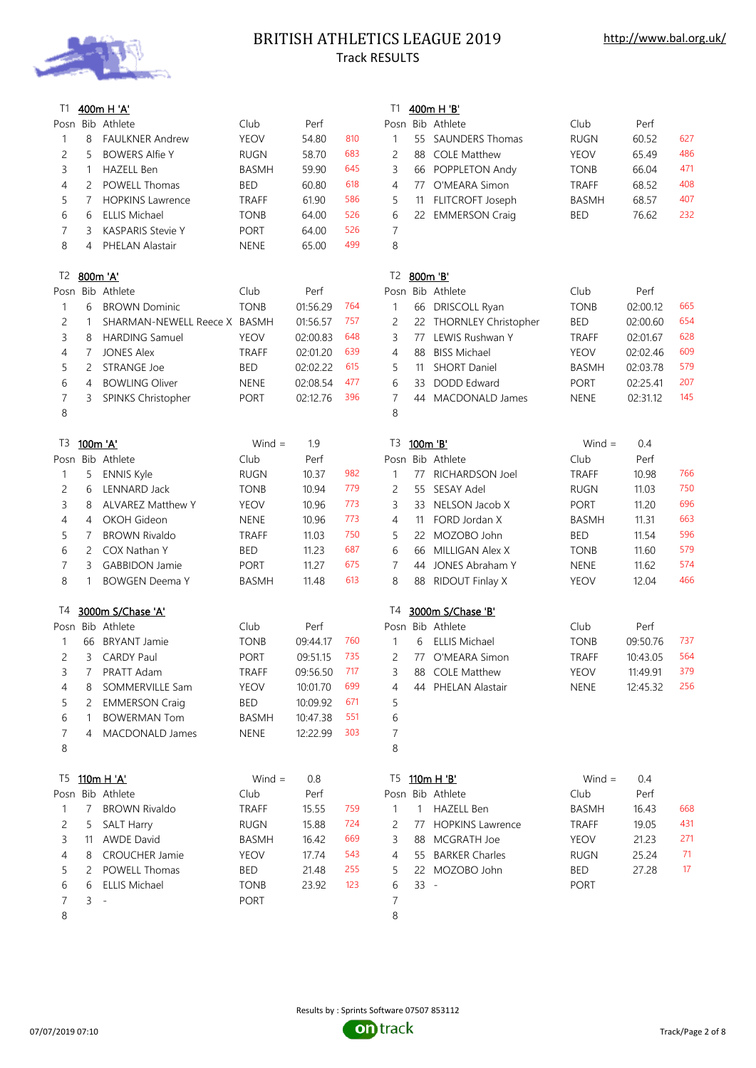

# BRITISH ATHLETICS LEAGUE 2019 Track RESULTS

| T1 |                | 400m H 'A'                   |              |          |     | T1             |              | 400m H 'B'              |              |          |                 |
|----|----------------|------------------------------|--------------|----------|-----|----------------|--------------|-------------------------|--------------|----------|-----------------|
|    |                | Posn Bib Athlete             | Club         | Perf     |     |                |              | Posn Bib Athlete        | Club         | Perf     |                 |
| 1  | 8              | <b>FAULKNER Andrew</b>       | <b>YEOV</b>  | 54.80    | 810 | $\mathbf{1}$   | 55           | <b>SAUNDERS Thomas</b>  | <b>RUGN</b>  | 60.52    | 627             |
| 2  | 5              | <b>BOWERS Alfie Y</b>        | <b>RUGN</b>  | 58.70    | 683 | $\overline{c}$ |              | 88 COLE Matthew         | <b>YEOV</b>  | 65.49    | 486             |
| 3  | $\mathbf{1}$   | <b>HAZELL Ben</b>            | <b>BASMH</b> | 59.90    | 645 | 3              |              | 66 POPPLETON Andy       | <b>TONB</b>  | 66.04    | 471             |
| 4  | 2              | <b>POWELL Thomas</b>         | <b>BED</b>   | 60.80    | 618 | $\overline{4}$ |              | 77 O'MEARA Simon        | <b>TRAFF</b> | 68.52    | 408             |
| 5  | $\overline{7}$ | <b>HOPKINS Lawrence</b>      | <b>TRAFF</b> | 61.90    | 586 | 5              | 11           | FLITCROFT Joseph        | <b>BASMH</b> | 68.57    | 407             |
| 6  | 6              | <b>ELLIS Michael</b>         | <b>TONB</b>  | 64.00    | 526 | 6              |              | 22 EMMERSON Craig       | <b>BED</b>   | 76.62    | 232             |
| 7  | 3              | <b>KASPARIS Stevie Y</b>     | <b>PORT</b>  | 64.00    | 526 | $\overline{7}$ |              |                         |              |          |                 |
| 8  | 4              | PHELAN Alastair              | <b>NENE</b>  | 65.00    | 499 | 8              |              |                         |              |          |                 |
| T2 | 800m 'A'       |                              |              |          |     | T2             |              | 800m 'B'                |              |          |                 |
|    |                | Posn Bib Athlete             | Club         | Perf     |     |                |              | Posn Bib Athlete        | Club         | Perf     |                 |
| 1  | 6              | <b>BROWN Dominic</b>         | <b>TONB</b>  | 01:56.29 | 764 | $\mathbf{1}$   | 66           | DRISCOLL Ryan           | <b>TONB</b>  | 02:00.12 | 665             |
| 2  | $\mathbf{1}$   | SHARMAN-NEWELL Reece X BASMH |              | 01:56.57 | 757 | $\overline{c}$ |              | 22 THORNLEY Christopher | <b>BED</b>   | 02:00.60 | 654             |
| 3  | 8              | <b>HARDING Samuel</b>        | <b>YEOV</b>  | 02:00.83 | 648 | 3              | 77           | LEWIS Rushwan Y         | <b>TRAFF</b> | 02:01.67 | 628             |
| 4  | $\overline{7}$ | <b>JONES Alex</b>            | <b>TRAFF</b> | 02:01.20 | 639 | $\overline{4}$ | 88           | <b>BISS Michael</b>     | <b>YEOV</b>  | 02:02.46 | 609             |
| 5  | 2              | <b>STRANGE Joe</b>           | <b>BED</b>   | 02:02.22 | 615 | 5              | 11           | <b>SHORT Daniel</b>     | <b>BASMH</b> | 02:03.78 | 57 <sup>9</sup> |
| 6  | 4              | <b>BOWLING Oliver</b>        | <b>NENE</b>  | 02:08.54 | 477 | 6              | 33           | <b>DODD</b> Edward      | <b>PORT</b>  | 02:25.41 | 207             |
| 7  | 3              | SPINKS Christopher           | <b>PORT</b>  | 02:12.76 | 396 | $\overline{7}$ | 44           | MACDONALD James         | <b>NENE</b>  | 02:31.12 | 145             |
| 8  |                |                              |              |          |     | 8              |              |                         |              |          |                 |
| T3 | 100m 'A'       |                              | $Wind =$     | 1.9      |     | T3             | 100m 'B'     |                         | Wind $=$     | 0.4      |                 |
|    |                | Posn Bib Athlete             | Club         | Perf     |     |                |              | Posn Bib Athlete        | Club         | Perf     |                 |
| 1  | 5              | <b>ENNIS Kyle</b>            | <b>RUGN</b>  | 10.37    | 982 | $\mathbf{1}$   | 77           | RICHARDSON Joel         | <b>TRAFF</b> | 10.98    | 766             |
| 2  | 6              | <b>LENNARD Jack</b>          | <b>TONB</b>  | 10.94    | 779 | $\overline{c}$ |              | 55 SESAY Adel           | <b>RUGN</b>  | 11.03    | 750             |
| 3  | 8              | ALVAREZ Matthew Y            | <b>YEOV</b>  | 10.96    | 773 | 3              |              | 33 NELSON Jacob X       | <b>PORT</b>  | 11.20    | 696             |
| 4  | 4              | OKOH Gideon                  | <b>NENE</b>  | 10.96    | 773 | $\overline{4}$ | 11           | FORD Jordan X           | <b>BASMH</b> | 11.31    | 663             |
| 5  | $\overline{7}$ | <b>BROWN Rivaldo</b>         | <b>TRAFF</b> | 11.03    | 750 | 5              | 22           | MOZOBO John             | <b>BED</b>   | 11.54    | 596             |
| 6  | 2              | COX Nathan Y                 | <b>BED</b>   | 11.23    | 687 | 6              | 66           | MILLIGAN Alex X         | <b>TONB</b>  | 11.60    | 579             |
| 7  | 3              | <b>GABBIDON Jamie</b>        | <b>PORT</b>  | 11.27    | 675 | $\overline{7}$ | 44           | JONES Abraham Y         | <b>NENE</b>  | 11.62    | 574             |
| 8  | $\mathbf{1}$   | <b>BOWGEN Deema Y</b>        | <b>BASMH</b> | 11.48    | 613 | 8              | 88           | RIDOUT Finlay X         | <b>YEOV</b>  | 12.04    | 466             |
| T4 |                | 3000m S/Chase 'A'            |              |          |     | T4             |              | 3000m S/Chase 'B'       |              |          |                 |
|    |                | Posn Bib Athlete             | Club         | Perf     |     |                |              | Posn Bib Athlete        | Club         | Perf     |                 |
| 1  | 66             | <b>BRYANT Jamie</b>          | <b>TONB</b>  | 09:44.17 | 760 | $\mathbf{1}$   | 6            | <b>ELLIS Michael</b>    | <b>TONB</b>  | 09:50.76 | 737             |
| 2  | 3              | <b>CARDY Paul</b>            | <b>PORT</b>  | 09:51.15 | 735 | 2              | 77           | O'MEARA Simon           | <b>TRAFF</b> | 10:43.05 | 564             |
| 3  | 7              | PRATT Adam                   | <b>TRAFF</b> | 09:56.50 | 717 | 3              | 88           | <b>COLE Matthew</b>     | <b>YEOV</b>  | 11:49.91 | 37 <sup>9</sup> |
| 4  | 8              | SOMMERVILLE Sam              | <b>YEOV</b>  | 10:01.70 | 699 | 4              |              | 44 PHELAN Alastair      | <b>NENE</b>  | 12:45.32 | 256             |
| 5  | 2              | <b>EMMERSON Craig</b>        | <b>BED</b>   | 10:09.92 | 671 | 5              |              |                         |              |          |                 |
| 6  | 1              | <b>BOWERMAN Tom</b>          | <b>BASMH</b> | 10:47.38 | 551 | 6              |              |                         |              |          |                 |
| 7  | 4              | MACDONALD James              | <b>NENE</b>  | 12:22.99 | 303 | $\overline{7}$ |              |                         |              |          |                 |
| 8  |                |                              |              |          |     | 8              |              |                         |              |          |                 |
| T5 |                | 110m H 'A'                   | $Wind =$     | 0.8      |     | T5             |              | 110m H 'B'              | $Wind =$     | 0.4      |                 |
|    |                | Posn Bib Athlete             | Club         | Perf     |     |                |              | Posn Bib Athlete        | Club         | Perf     |                 |
| 1  | $\overline{7}$ | <b>BROWN Rivaldo</b>         | <b>TRAFF</b> | 15.55    | 759 | $\mathbf{1}$   | $\mathbf{1}$ | <b>HAZELL Ben</b>       | <b>BASMH</b> | 16.43    | 668             |
| 2  | 5              | <b>SALT Harry</b>            | <b>RUGN</b>  | 15.88    | 724 | 2              |              | 77 HOPKINS Lawrence     | TRAFF        | 19.05    | 431             |
| 3  | 11             | <b>AWDE David</b>            | <b>BASMH</b> | 16.42    | 669 | 3              |              | 88 MCGRATH Joe          | <b>YEOV</b>  | 21.23    | 271             |
| 4  | 8              | <b>CROUCHER Jamie</b>        | <b>YEOV</b>  | 17.74    | 543 | 4              |              | 55 BARKER Charles       | <b>RUGN</b>  | 25.24    | 71              |
| 5  | 2              | POWELL Thomas                | <b>BED</b>   | 21.48    | 255 | 5              |              | 22 MOZOBO John          | BED          | 27.28    | 17              |
| 6  | 6              | <b>ELLIS Michael</b>         | <b>TONB</b>  | 23.92    | 123 | 6              | $33 -$       |                         | <b>PORT</b>  |          |                 |
| 7  | 3              | $\overline{\phantom{a}}$     | <b>PORT</b>  |          |     | 7              |              |                         |              |          |                 |
| 8  |                |                              |              |          |     | 8              |              |                         |              |          |                 |
|    |                |                              |              |          |     |                |              |                         |              |          |                 |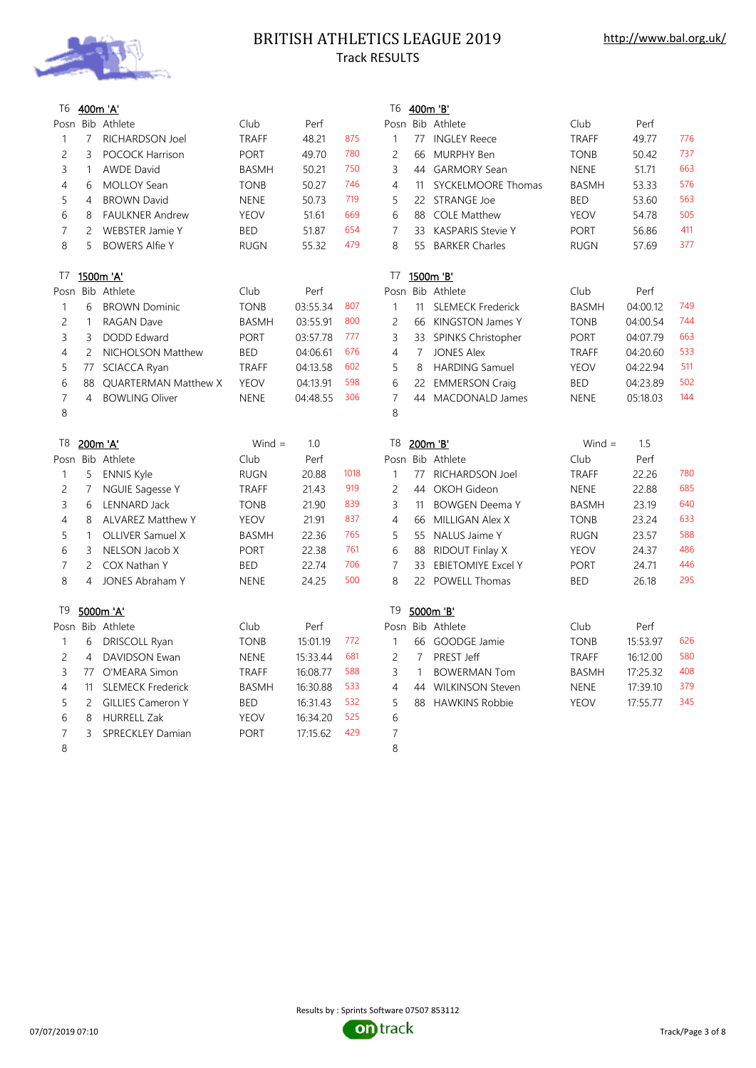

# BRITISH ATHLETICS LEAGUE 2019 Track RESULTS

| T6             | 400m 'A'       |                             |              |          |      | T6             |                | 400m 'B'                  |              |          |     |
|----------------|----------------|-----------------------------|--------------|----------|------|----------------|----------------|---------------------------|--------------|----------|-----|
| Posn           |                | Bib Athlete                 | Club         | Perf     |      | Posn           |                | Bib Athlete               | Club         | Perf     |     |
| $\mathbf{1}$   | $\overline{7}$ | RICHARDSON Joel             | <b>TRAFF</b> | 48.21    | 875  | $\mathbf{1}$   |                | 77 INGLEY Reece           | <b>TRAFF</b> | 49.77    | 776 |
| $\overline{c}$ | 3              | <b>POCOCK Harrison</b>      | <b>PORT</b>  | 49.70    | 780  | $\overline{c}$ | 66             | <b>MURPHY Ben</b>         | <b>TONB</b>  | 50.42    | 737 |
| 3              | $\mathbf{1}$   | <b>AWDE David</b>           | <b>BASMH</b> | 50.21    | 750  | 3              |                | 44 GARMORY Sean           | <b>NENE</b>  | 51.71    | 663 |
| 4              | 6              | <b>MOLLOY Sean</b>          | <b>TONB</b>  | 50.27    | 746  | $\overline{4}$ | 11             | SYCKELMOORE Thomas        | <b>BASMH</b> | 53.33    | 576 |
| 5              | 4              | <b>BROWN David</b>          | <b>NENE</b>  | 50.73    | 719  | 5              |                | 22 STRANGE Joe            | <b>BED</b>   | 53.60    | 563 |
| 6              | 8              | <b>FAULKNER Andrew</b>      | <b>YEOV</b>  | 51.61    | 669  | 6              | 88             | <b>COLE Matthew</b>       | <b>YEOV</b>  | 54.78    | 505 |
| $\overline{7}$ | $\overline{2}$ | <b>WEBSTER Jamie Y</b>      | <b>BED</b>   | 51.87    | 654  | $\overline{7}$ | 33             | <b>KASPARIS Stevie Y</b>  | PORT         | 56.86    | 411 |
| 8              | 5              | <b>BOWERS Alfie Y</b>       | <b>RUGN</b>  | 55.32    | 479  | 8              | 55             | <b>BARKER Charles</b>     | <b>RUGN</b>  | 57.69    | 377 |
| T7             |                | 1500m 'A'                   |              |          |      | T7             |                | 1500m 'B'                 |              |          |     |
|                |                | Posn Bib Athlete            | Club         | Perf     |      |                |                | Posn Bib Athlete          | Club         | Perf     |     |
| $\mathbf{1}$   | 6              | <b>BROWN Dominic</b>        | <b>TONB</b>  | 03:55.34 | 807  | $\mathbf{1}$   | 11             | <b>SLEMECK Frederick</b>  | <b>BASMH</b> | 04:00.12 | 749 |
| $\overline{c}$ | $\mathbf{1}$   | <b>RAGAN Dave</b>           | <b>BASMH</b> | 03:55.91 | 800  | $\overline{c}$ | 66             | KINGSTON James Y          | <b>TONB</b>  | 04:00.54 | 744 |
| 3              | 3              | <b>DODD Edward</b>          | <b>PORT</b>  | 03:57.78 | 777  | 3              |                | 33 SPINKS Christopher     | <b>PORT</b>  | 04:07.79 | 663 |
| 4              | $\overline{2}$ | NICHOLSON Matthew           | <b>BED</b>   | 04:06.61 | 676  | $\overline{4}$ | $\overline{7}$ | <b>JONES Alex</b>         | <b>TRAFF</b> | 04:20.60 | 533 |
| 5              | 77             | <b>SCIACCA Ryan</b>         | <b>TRAFF</b> | 04:13.58 | 602  | 5              | 8              | <b>HARDING Samuel</b>     | <b>YEOV</b>  | 04:22.94 | 511 |
| 6              | 88             | <b>QUARTERMAN Matthew X</b> | <b>YEOV</b>  | 04:13.91 | 598  | 6              |                | 22 EMMERSON Craig         | <b>BED</b>   | 04:23.89 | 502 |
| $\overline{7}$ | 4              | <b>BOWLING Oliver</b>       | <b>NENE</b>  | 04:48.55 | 306  | $\overline{7}$ | 44             | MACDONALD James           | <b>NENE</b>  | 05:18.03 | 144 |
| 8              |                |                             |              |          |      | 8              |                |                           |              |          |     |
| T8             |                | 200m 'A'                    | $Wind =$     | 1.0      |      | T8             |                | 200m 'B'                  | Wind $=$     | 1.5      |     |
|                |                | Posn Bib Athlete            | Club         | Perf     |      |                |                | Posn Bib Athlete          | Club         | Perf     |     |
| $\mathbf{1}$   | 5              | <b>ENNIS Kyle</b>           | <b>RUGN</b>  | 20.88    | 1018 | $\mathbf{1}$   | 77             | RICHARDSON Joel           | <b>TRAFF</b> | 22.26    | 780 |
| $\overline{c}$ | 7              | <b>NGUIE Sagesse Y</b>      |              |          | 919  |                |                |                           |              |          | 685 |
|                |                |                             | <b>TRAFF</b> | 21.43    |      | $\overline{c}$ | 44             | OKOH Gideon               | <b>NENE</b>  | 22.88    |     |
| 3              | 6              | <b>LENNARD Jack</b>         | <b>TONB</b>  | 21.90    | 839  | 3              | 11             | <b>BOWGEN Deema Y</b>     | <b>BASMH</b> | 23.19    | 640 |
| 4              | 8              | <b>ALVAREZ Matthew Y</b>    | <b>YEOV</b>  | 21.91    | 837  | $\overline{4}$ | 66             | MILLIGAN Alex X           | <b>TONB</b>  | 23.24    | 633 |
| 5              | $\mathbf{1}$   | <b>OLLIVER Samuel X</b>     | <b>BASMH</b> | 22.36    | 765  | 5              | 55             | NALUS Jaime Y             | <b>RUGN</b>  | 23.57    | 588 |
| 6              | 3              | NELSON Jacob X              | <b>PORT</b>  | 22.38    | 761  | 6              | 88             | RIDOUT Finlay X           | <b>YEOV</b>  | 24.37    | 486 |
| $\overline{7}$ | $\overline{c}$ | COX Nathan Y                | <b>BED</b>   | 22.74    | 706  | $\overline{7}$ | 33             | <b>EBIETOMIYE Excel Y</b> | <b>PORT</b>  | 24.71    | 446 |
| 8              | $\overline{4}$ | JONES Abraham Y             | <b>NENE</b>  | 24.25    | 500  | 8              |                | 22 POWELL Thomas          | <b>BED</b>   | 26.18    | 295 |
| T <sub>9</sub> |                | 5000m 'A'                   |              |          |      | T <sub>9</sub> |                | 5000m 'B'                 |              |          |     |
|                |                | Posn Bib Athlete            | Club         | Perf     |      |                |                | Posn Bib Athlete          | Club         | Perf     |     |
| $\mathbf{1}$   | 6              | DRISCOLL Ryan               | <b>TONB</b>  | 15:01.19 | 772  | $\mathbf{1}$   |                | 66 GOODGE Jamie           | <b>TONB</b>  | 15:53.97 | 626 |
| 2              | $\overline{4}$ | <b>DAVIDSON Ewan</b>        | <b>NENE</b>  | 15:33.44 | 681  | $\overline{c}$ | $\overline{7}$ | PREST Jeff                | <b>TRAFF</b> | 16:12.00 | 580 |
| 3              | 77             | O'MEARA Simon               | <b>TRAFF</b> | 16:08.77 | 588  | 3              | $\mathbf{1}$   | <b>BOWERMAN Tom</b>       | <b>BASMH</b> | 17:25.32 | 408 |
| 4              | 11             | <b>SLEMECK Frederick</b>    | <b>BASMH</b> | 16:30.88 | 533  | $\overline{4}$ | 44             | <b>WILKINSON Steven</b>   | <b>NENE</b>  | 17:39.10 | 379 |
| 5              | $\overline{2}$ | <b>GILLIES Cameron Y</b>    | BED          | 16:31.43 | 532  | 5              | 88             | <b>HAWKINS Robbie</b>     | <b>YEOV</b>  | 17:55.77 | 345 |
| 6              | 8              | <b>HURRELL Zak</b>          | <b>YEOV</b>  | 16:34.20 | 525  | 6              |                |                           |              |          |     |
| $\overline{7}$ | 3              | SPRECKLEY Damian            | <b>PORT</b>  | 17:15.62 | 429  | $\overline{7}$ |                |                           |              |          |     |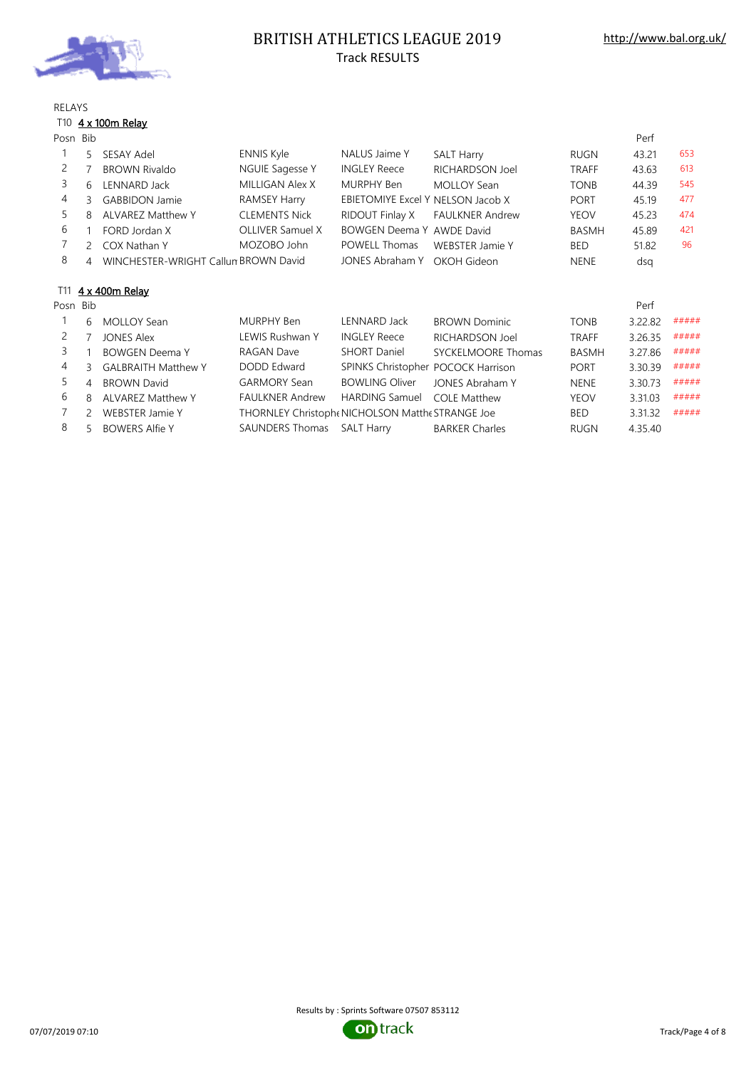

# BRITISH ATHLETICS LEAGUE 2019 Track RESULTS

### RELAYS

### T10  $4 \times 100$ m Relay

| Posn Bib |                |                                      |                                                  |                                    |                        |              | Perf    |       |
|----------|----------------|--------------------------------------|--------------------------------------------------|------------------------------------|------------------------|--------------|---------|-------|
|          | 5              | SESAY Adel                           | <b>ENNIS Kyle</b>                                | NALUS Jaime Y                      | <b>SALT Harry</b>      | RUGN         | 43.21   | 653   |
| 2        |                | <b>BROWN Rivaldo</b>                 | NGUIE Sagesse Y                                  | <b>INGLEY Reece</b>                | RICHARDSON Joel        | <b>TRAFF</b> | 43.63   | 613   |
| 3        | 6              | <b>LENNARD Jack</b>                  | MILLIGAN Alex X                                  | MURPHY Ben                         | <b>MOLLOY Sean</b>     | <b>TONB</b>  | 44.39   | 545   |
| 4        | 3              | <b>GABBIDON Jamie</b>                | RAMSEY Harry                                     | EBIETOMIYE Excel Y NELSON Jacob X  |                        | <b>PORT</b>  | 45.19   | 477   |
| 5        | 8              | <b>ALVAREZ Matthew Y</b>             | <b>CLEMENTS Nick</b>                             | <b>RIDOUT Finlay X</b>             | <b>FAULKNER Andrew</b> | <b>YEOV</b>  | 45.23   | 474   |
| 6        |                | FORD Jordan X                        | OLLIVER Samuel X                                 | BOWGEN Deema Y AWDE David          |                        | <b>BASMH</b> | 45.89   | 421   |
|          | $\overline{2}$ | COX Nathan Y                         | MOZOBO John                                      | <b>POWELL Thomas</b>               | <b>WEBSTER Jamie Y</b> | <b>BED</b>   | 51.82   | 96    |
| 8        | $\overline{4}$ | WINCHESTER-WRIGHT Callun BROWN David |                                                  | <b>JONES Abraham Y</b>             | OKOH Gideon            | <b>NENE</b>  | dsg     |       |
|          |                |                                      |                                                  |                                    |                        |              |         |       |
| T11      |                | 4 x 400m Relay                       |                                                  |                                    |                        |              |         |       |
| Posn Bib |                |                                      |                                                  |                                    |                        |              | Perf    |       |
|          | 6              | <b>MOLLOY Sean</b>                   | MURPHY Ben                                       | LENNARD Jack                       | <b>BROWN Dominic</b>   | <b>TONB</b>  | 3.22.82 | ##### |
| 2        |                | <b>JONES Alex</b>                    | LEWIS Rushwan Y                                  | <b>INGLEY Reece</b>                | RICHARDSON Joel        | <b>TRAFF</b> | 3.26.35 | ##### |
| 3        |                | <b>BOWGEN Deema Y</b>                | RAGAN Dave                                       | <b>SHORT Daniel</b>                | SYCKELMOORE Thomas     | <b>BASMH</b> | 3.27.86 | ##### |
| 4        | 3              | <b>GALBRAITH Matthew Y</b>           | <b>DODD Edward</b>                               | SPINKS Christopher POCOCK Harrison |                        | <b>PORT</b>  | 3.30.39 | ##### |
| 5        | $\overline{4}$ | <b>BROWN David</b>                   | <b>GARMORY Sean</b>                              | <b>BOWLING Oliver</b>              | JONES Abraham Y        | <b>NENE</b>  | 3.30.73 | ##### |
| 6        | 8              | <b>ALVAREZ Matthew Y</b>             | <b>FAULKNER Andrew</b>                           | <b>HARDING Samuel</b>              | <b>COLE Matthew</b>    | <b>YEOV</b>  | 3.31.03 | ##### |
|          | 2              | <b>WEBSTER Jamie Y</b>               | THORNLEY Christophe NICHOLSON Matthe STRANGE Joe |                                    |                        | <b>BED</b>   | 3.31.32 | ##### |
| 8        | 5              | <b>BOWERS Alfie Y</b>                | <b>SAUNDERS Thomas</b>                           | <b>SALT Harry</b>                  | <b>BARKER Charles</b>  | <b>RUGN</b>  | 4.35.40 |       |

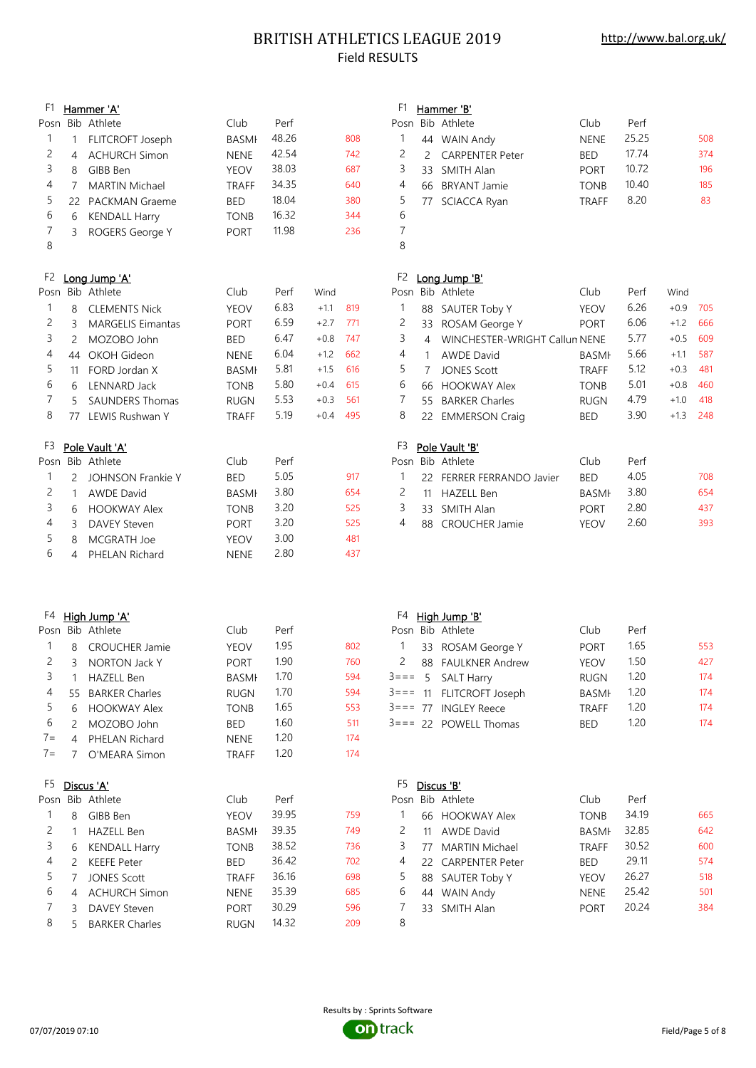## BRITISH ATHLETICS LEAGUE 2019 Field RESULTS

## F1 Hammer 'A' F1 Hammer 'B' Posn Bib Athlete Club Perf Posn Bib Athlete Club Perf 1 1 FLITCROFT Joseph BASMI 48.26 808 2 4 ACHURCH Simon NENE 42.54 742 3 8 GIBB Ben YEOV 38.03 687 3 33 SMITH Alan PORT 10.72 196 4 7 MARTIN Michael TRAFF 34.35 640 5 22 PACKMAN Graeme BED 18.04 380 6 6 KENDALL Harry TONB 16.32 344 6 7 3 ROGERS George Y PORT 11.98 236 8 8 F2 Long Jump 'A' F2 Long Jump 'B' Posn Bib Athlete Club Perf Wind P 1 8 CLEMENTS Nick YEOV 6.83 +1.1 819 1 88 SAUTER Toby Y YEOV 6.26 +0.9 705 2 3 MARGELIS Eimantas PORT 6.59 +2.7 771 3 2 MOZOBO John  $\,$ BED  $\,$  6.47  $\,$  +0.8 747  $\,$  3 4 WINCHESTER-WRIGHT Callum NENE  $\,$  5.77  $\,$  +0.5 609 4 44 OKOH Gideon NENE 6.04 +1.2 662 5 11 FORD Jordan X BASMH 5.81 +1.5 616 6 6 LENNARD Jack TONB 5.80 +0.4 615 7 5 SAUNDERS Thomas RUGN 5.53 +0.3 561 8 77 LEWIS Rushwan Y TRAFF 5.19 +0.4 495 F3 Pole Vault 'A' Posn Bib Athlete **Posn Bib Athlete** Posn Bib Athlete 1 2 JOHNSON Frankie Y BED 5.05 917 2 1 AWDE David BASMH 3.80 654 2 11 HAZELL Ben BASMH 3.80 654 3 6 HOOKWAY Alex TONB 3.20 525 4 3 DAVEY Steven PORT 3.20 525 5 8 MCGRATH Joe YEOV 3.00 481 6 4 PHELAN Richard NENE 2.80 437 F4 High Jump 'A' F4 High Jump 'B' Posn Bib Athlete Club Perf 1 8 CROUCHER Jamie YEOV 1.95 802 2 3 NORTON Jack Y PORT 1.90 760 2 88 FAULKNER Andrew YEOV 1.50 427 3 1 HAZELL Ben BASMH 1.70 594 3=== 5 SALT Harry RUGN 1.20 174 4 55 BARKER Charles **RUGN** 1.70 594 5 6 HOOKWAY Alex **TONB** 1.65 553 6 2 MOZOBO John BED 1.60 511 7= 4 PHELAN Richard NENE 1.20 174 7= 7 O'MEARA Simon TRAFF 1.20 174 F5 Discus 'A' F5 Discus 'B' Posn Bib Athlete **Posn Bib Athlete** Posn Bib Athlete **Posn** Perf 1 8 GIBB Ben YEOV 39.95 759 1 66 HOOKWAY Alex TONB 34.19 665 2 1 HAZELL Ben BASMH 39.35 749 2 11 AWDE David BASMH 32.85 642 3 6 KENDALL Harry **TONB** 38.52 736 4 2 KEEFE Peter BED 36.42 702 4 22 CARPENTER Peter BED 29.11 574 5 7 JONES Scott TRAFF 36.16 698 5 88 SAUTER Toby Y YEOV 26.27 518 6 4 ACHURCH Simon NENE 35.39 685 7 3 DAVEY Steven PORT 30.29 596 7 33 SMITH Alan PORT 20.24 384 8 5 BARKER Charles RUGN 14.32 209 8

|                | .                   |            |              |       |     |
|----------------|---------------------|------------|--------------|-------|-----|
|                | osn Bib Athlete     |            | Club         | Perf  |     |
| 1              | 44 WAIN Andy        |            | <b>NENE</b>  | 25.25 | 508 |
|                | 2 2 CARPENTER Peter | <b>BED</b> |              | 17.74 | 374 |
| 3              | 33 SMITH Alan       |            | <b>PORT</b>  | 10.72 | 196 |
| 4              | 66 BRYANT Jamie     |            | <b>TONB</b>  | 10.40 | 185 |
| 5              | 77 SCIACCA Ryan     |            | <b>TRAFF</b> | 8.20  | 83  |
| 6              |                     |            |              |       |     |
| $\overline{7}$ |                     |            |              |       |     |
| $\mathsf{R}$   |                     |            |              |       |     |

| osn |    | Bib Athlete                   | Club         | Perf | Wind   |     |
|-----|----|-------------------------------|--------------|------|--------|-----|
| 1   | 88 | SAUTER Toby Y                 | <b>YEOV</b>  | 6.26 | $+0.9$ | 705 |
| 2   | 33 | ROSAM George Y                | <b>PORT</b>  | 6.06 | $+1.2$ | 666 |
| 3   | 4  | WINCHESTER-WRIGHT Callun NENE |              | 5.77 | $+0.5$ | 609 |
| 4   | 1  | <b>AWDE David</b>             | <b>BASMF</b> | 5.66 | $+1.1$ | 587 |
| -5  | 7  | <b>JONES Scott</b>            | <b>TRAFF</b> | 5.12 | $+0.3$ | 481 |
| 6   | 66 | <b>HOOKWAY Alex</b>           | <b>TONB</b>  | 5.01 | $+0.8$ | 460 |
| 7   | 55 | <b>BARKER Charles</b>         | <b>RUGN</b>  | 4.79 | $+1.0$ | 418 |
| 8   |    | 22 EMMERSON Craig             | <b>BED</b>   | 3.90 | $+1.3$ | 248 |
|     |    |                               |              |      |        |     |
| F3  |    | Pole Vault 'B'                |              |      |        |     |
|     |    |                               |              |      |        |     |

|  | osn Bib Athlete             | Club         | Perf |     |
|--|-----------------------------|--------------|------|-----|
|  | 1 22 FERRER FERRANDO Javier | <b>BED</b>   | 4.05 | 708 |
|  | 2 11 HAZELL Ben             | <b>BASMF</b> | 3.80 | 654 |
|  | 3 33 SMITH Alan             | <b>PORT</b>  | 2.80 | 437 |
|  | 4 88 CROUCHER Jamie         | <b>YFOV</b>  | 2.60 | 393 |
|  |                             |              |      |     |

|          | Posn Bib Athlete         | Club         | Perf |     |
|----------|--------------------------|--------------|------|-----|
| $\sim$ 1 | 33 ROSAM George Y        | <b>PORT</b>  | 1.65 | 553 |
|          | 2 88 FAULKNER Andrew     | YEOV         | 1.50 | 427 |
|          | $3 == 5$ SALT Harry      | <b>RUGN</b>  | 1.20 | 174 |
|          | 3=== 11 FLITCROFT Joseph | <b>BASMF</b> | 1.20 | 174 |
|          | $3 == 77$ INGLEY Reece   | <b>TRAFF</b> | 1.20 | 174 |
|          | $3 == 22$ POWELL Thomas  | <b>BFD</b>   | 1.20 | 174 |
|          |                          |              |      |     |

|              |    | osn Bib Athlete    | Club         | Perf  |     |
|--------------|----|--------------------|--------------|-------|-----|
| $\mathbf{1}$ |    | 66 HOOKWAY Alex    | <b>TONB</b>  | 34.19 | 665 |
| 2            | 11 | <b>AWDE David</b>  | <b>BASMI</b> | 32.85 | 642 |
| 3            |    | 77 MARTIN Michael  | <b>TRAFF</b> | 30.52 | 600 |
| 4            |    | 22 CARPENTER Peter | <b>BED</b>   | 29.11 | 574 |
| 5            |    | 88 SAUTER Toby Y   | <b>YEOV</b>  | 26.27 | 518 |
| 6            |    | 44 WAIN Andy       | <b>NENE</b>  | 25.42 | 501 |
|              |    | 33 SMITH Alan      | <b>PORT</b>  | 20.24 | 384 |
| $\sim$       |    |                    |              |       |     |

07/07/2019 07:10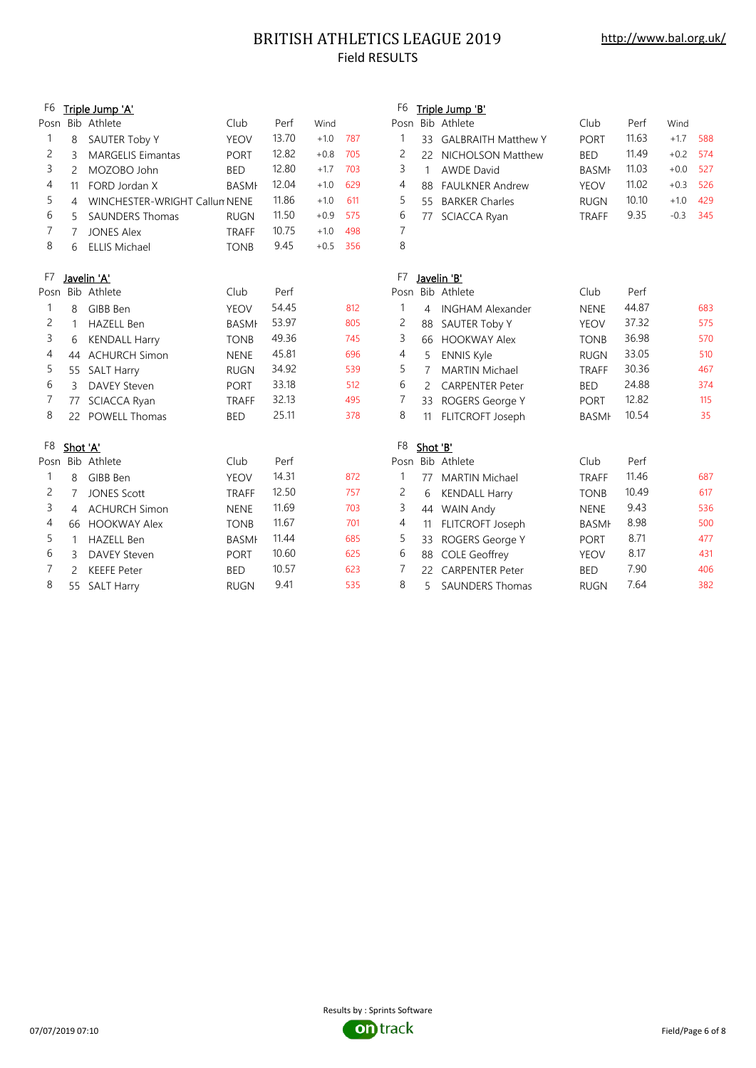# BRITISH ATHLETICS LEAGUE 2019 Field RESULTS

| Triple Jump 'A'<br>Triple Jump 'B'<br>Bib Athlete<br>Posn Bib Athlete<br>Club<br>Club<br>Posn<br>Perf<br>Wind<br>Perf<br>Wind<br>13.70<br>$+1.0$<br>787<br>11.63<br>1<br>1<br>$+1.7$<br>588<br><b>YEOV</b><br><b>PORT</b><br>SAUTER Toby Y<br><b>GALBRAITH Matthew Y</b><br>8<br>33<br>12.82<br>2<br>11.49<br>$+0.8$<br>705<br>2<br>$+0.2$<br>574<br><b>MARGELIS Eimantas</b><br><b>BED</b><br>3<br><b>PORT</b><br><b>NICHOLSON Matthew</b><br>22<br>12.80<br>3<br>11.03<br>3<br>527<br>$\overline{2}$<br>MOZOBO John<br><b>BED</b><br>$+1.7$<br>703<br><b>AWDE David</b><br><b>BASMI</b><br>$+0.0$<br>$\mathbf{1}$<br>12.04<br>11.02<br>4<br>$+1.0$<br>629<br>4<br>$+0.3$<br>526<br><b>BASMI</b><br><b>FAULKNER Andrew</b><br><b>YEOV</b><br>FORD Jordan X<br>11<br>88<br>5<br>11.86<br>5<br>10.10<br>$+1.0$<br>611<br>$+1.0$<br>429<br><b>BARKER Charles</b><br>WINCHESTER-WRIGHT Callun NENE<br>55<br><b>RUGN</b><br>4<br>9.35<br>6<br>11.50<br>6<br>$-0.3$<br>345<br>5<br><b>SAUNDERS Thomas</b><br>$+0.9$<br>575<br>SCIACCA Ryan<br><b>RUGN</b><br><b>TRAFF</b><br>77<br>7<br>7<br>10.75<br>$+1.0$<br>498<br><b>JONES Alex</b><br>$\overline{7}$<br><b>TRAFF</b><br>8<br>8<br>9.45<br>$+0.5$<br>356<br>6<br><b>ELLIS Michael</b><br><b>TONB</b><br>F7<br>F7<br>Javelin 'A'<br>Javelin 'B'<br>Bib Athlete<br>Club<br>Perf<br>Posn Bib Athlete<br>Club<br>Perf<br>Posn<br>44.87<br>54.45<br>683<br>$\mathbf{1}$<br>1<br>GIBB Ben<br><b>YEOV</b><br>812<br><b>NENE</b><br>8<br>4<br><b>INGHAM Alexander</b><br>53.97<br>37.32<br>2<br>2<br>575<br>805<br><b>HAZELL Ben</b><br><b>BASMI</b><br>SAUTER Toby Y<br><b>YEOV</b><br>1<br>88<br>36.98<br>3<br>49.36<br>3<br>570<br>745<br><b>HOOKWAY Alex</b><br><b>TONB</b><br><b>KENDALL Harry</b><br><b>TONB</b><br>66<br>6<br>45.81<br>33.05<br>4<br>4<br>510<br>696<br><b>ACHURCH Simon</b><br><b>NENE</b><br>5<br><b>ENNIS Kyle</b><br><b>RUGN</b><br>44<br>5<br>34.92<br>5<br>30.36<br>467<br>539<br><b>MARTIN Michael</b><br>55 SALT Harry<br><b>RUGN</b><br>7<br><b>TRAFF</b><br>6<br>24.88<br>33.18<br>6<br>374<br>512<br><b>BED</b><br>3<br><b>DAVEY Steven</b><br><b>PORT</b><br><b>CARPENTER Peter</b><br>2<br>32.13<br>12.82<br>7<br>7<br>115<br>495<br>SCIACCA Ryan<br>ROGERS George Y<br><b>PORT</b><br>77<br><b>TRAFF</b><br>33<br>8<br>25.11<br>8<br>10.54<br>35<br>378<br><b>POWELL Thomas</b><br><b>BED</b><br>FLITCROFT Joseph<br><b>BASMI</b><br>22<br>11<br>F <sub>8</sub><br>F <sub>8</sub><br>Shot 'A'<br>Shot 'B'<br>Posn Bib Athlete<br>Perf<br>Posn Bib Athlete<br>Club<br>Perf<br>Club<br>14.31<br>11.46<br>687<br>872<br>$\mathbf{1}$<br>1<br>GIBB Ben<br><b>YEOV</b><br><b>MARTIN Michael</b><br><b>TRAFF</b><br>8<br>77<br>12.50<br>10.49<br>2<br>617<br>2<br>757<br><b>JONES Scott</b><br>7<br><b>TRAFF</b><br>6<br><b>KENDALL Harry</b><br><b>TONB</b><br>3<br>11.69<br>3<br>9.43<br>536<br><b>ACHURCH Simon</b><br>703<br><b>NENE</b><br><b>WAIN Andy</b><br><b>NENE</b><br>44<br>4<br>11.67<br>8.98<br>4<br>500<br>4<br>701<br><b>HOOKWAY Alex</b><br><b>TONB</b><br>FLITCROFT Joseph<br><b>BASMI</b><br>66<br>11<br>5<br>8.71<br>11.44<br>5<br>477<br>685<br><b>HAZELL Ben</b><br><b>BASMI</b><br>ROGERS George Y<br><b>PORT</b><br>$\mathbf{1}$<br>33<br>10.60<br>8.17<br>6<br>6<br>431<br>625<br><b>DAVEY Steven</b><br><b>COLE Geoffrey</b><br><b>YEOV</b><br>3<br><b>PORT</b><br>88<br>7<br>7.90<br>10.57<br>7<br>406<br>623<br><b>BED</b><br>2<br><b>KEEFE Peter</b><br><b>BED</b><br><b>CARPENTER Peter</b><br>22 |    |    |                   |             |      |     |                |   |                        |             |      |     |
|---------------------------------------------------------------------------------------------------------------------------------------------------------------------------------------------------------------------------------------------------------------------------------------------------------------------------------------------------------------------------------------------------------------------------------------------------------------------------------------------------------------------------------------------------------------------------------------------------------------------------------------------------------------------------------------------------------------------------------------------------------------------------------------------------------------------------------------------------------------------------------------------------------------------------------------------------------------------------------------------------------------------------------------------------------------------------------------------------------------------------------------------------------------------------------------------------------------------------------------------------------------------------------------------------------------------------------------------------------------------------------------------------------------------------------------------------------------------------------------------------------------------------------------------------------------------------------------------------------------------------------------------------------------------------------------------------------------------------------------------------------------------------------------------------------------------------------------------------------------------------------------------------------------------------------------------------------------------------------------------------------------------------------------------------------------------------------------------------------------------------------------------------------------------------------------------------------------------------------------------------------------------------------------------------------------------------------------------------------------------------------------------------------------------------------------------------------------------------------------------------------------------------------------------------------------------------------------------------------------------------------------------------------------------------------------------------------------------------------------------------------------------------------------------------------------------------------------------------------------------------------------------------------------------------------------------------------------------------------------------------------------------------------------------------------------------------------------------------------------------------------------------------------------------------------------------------------------------------------------------------------------------------------------------------------------------------------------------------------------------------------------------------------------------------------------------------------------------------------------------------------|----|----|-------------------|-------------|------|-----|----------------|---|------------------------|-------------|------|-----|
|                                                                                                                                                                                                                                                                                                                                                                                                                                                                                                                                                                                                                                                                                                                                                                                                                                                                                                                                                                                                                                                                                                                                                                                                                                                                                                                                                                                                                                                                                                                                                                                                                                                                                                                                                                                                                                                                                                                                                                                                                                                                                                                                                                                                                                                                                                                                                                                                                                                                                                                                                                                                                                                                                                                                                                                                                                                                                                                                                                                                                                                                                                                                                                                                                                                                                                                                                                                                                                                                                                         | F6 |    |                   |             |      |     | F <sub>6</sub> |   |                        |             |      |     |
|                                                                                                                                                                                                                                                                                                                                                                                                                                                                                                                                                                                                                                                                                                                                                                                                                                                                                                                                                                                                                                                                                                                                                                                                                                                                                                                                                                                                                                                                                                                                                                                                                                                                                                                                                                                                                                                                                                                                                                                                                                                                                                                                                                                                                                                                                                                                                                                                                                                                                                                                                                                                                                                                                                                                                                                                                                                                                                                                                                                                                                                                                                                                                                                                                                                                                                                                                                                                                                                                                                         |    |    |                   |             |      |     |                |   |                        |             |      |     |
|                                                                                                                                                                                                                                                                                                                                                                                                                                                                                                                                                                                                                                                                                                                                                                                                                                                                                                                                                                                                                                                                                                                                                                                                                                                                                                                                                                                                                                                                                                                                                                                                                                                                                                                                                                                                                                                                                                                                                                                                                                                                                                                                                                                                                                                                                                                                                                                                                                                                                                                                                                                                                                                                                                                                                                                                                                                                                                                                                                                                                                                                                                                                                                                                                                                                                                                                                                                                                                                                                                         |    |    |                   |             |      |     |                |   |                        |             |      |     |
|                                                                                                                                                                                                                                                                                                                                                                                                                                                                                                                                                                                                                                                                                                                                                                                                                                                                                                                                                                                                                                                                                                                                                                                                                                                                                                                                                                                                                                                                                                                                                                                                                                                                                                                                                                                                                                                                                                                                                                                                                                                                                                                                                                                                                                                                                                                                                                                                                                                                                                                                                                                                                                                                                                                                                                                                                                                                                                                                                                                                                                                                                                                                                                                                                                                                                                                                                                                                                                                                                                         |    |    |                   |             |      |     |                |   |                        |             |      |     |
|                                                                                                                                                                                                                                                                                                                                                                                                                                                                                                                                                                                                                                                                                                                                                                                                                                                                                                                                                                                                                                                                                                                                                                                                                                                                                                                                                                                                                                                                                                                                                                                                                                                                                                                                                                                                                                                                                                                                                                                                                                                                                                                                                                                                                                                                                                                                                                                                                                                                                                                                                                                                                                                                                                                                                                                                                                                                                                                                                                                                                                                                                                                                                                                                                                                                                                                                                                                                                                                                                                         |    |    |                   |             |      |     |                |   |                        |             |      |     |
|                                                                                                                                                                                                                                                                                                                                                                                                                                                                                                                                                                                                                                                                                                                                                                                                                                                                                                                                                                                                                                                                                                                                                                                                                                                                                                                                                                                                                                                                                                                                                                                                                                                                                                                                                                                                                                                                                                                                                                                                                                                                                                                                                                                                                                                                                                                                                                                                                                                                                                                                                                                                                                                                                                                                                                                                                                                                                                                                                                                                                                                                                                                                                                                                                                                                                                                                                                                                                                                                                                         |    |    |                   |             |      |     |                |   |                        |             |      |     |
|                                                                                                                                                                                                                                                                                                                                                                                                                                                                                                                                                                                                                                                                                                                                                                                                                                                                                                                                                                                                                                                                                                                                                                                                                                                                                                                                                                                                                                                                                                                                                                                                                                                                                                                                                                                                                                                                                                                                                                                                                                                                                                                                                                                                                                                                                                                                                                                                                                                                                                                                                                                                                                                                                                                                                                                                                                                                                                                                                                                                                                                                                                                                                                                                                                                                                                                                                                                                                                                                                                         |    |    |                   |             |      |     |                |   |                        |             |      |     |
|                                                                                                                                                                                                                                                                                                                                                                                                                                                                                                                                                                                                                                                                                                                                                                                                                                                                                                                                                                                                                                                                                                                                                                                                                                                                                                                                                                                                                                                                                                                                                                                                                                                                                                                                                                                                                                                                                                                                                                                                                                                                                                                                                                                                                                                                                                                                                                                                                                                                                                                                                                                                                                                                                                                                                                                                                                                                                                                                                                                                                                                                                                                                                                                                                                                                                                                                                                                                                                                                                                         |    |    |                   |             |      |     |                |   |                        |             |      |     |
|                                                                                                                                                                                                                                                                                                                                                                                                                                                                                                                                                                                                                                                                                                                                                                                                                                                                                                                                                                                                                                                                                                                                                                                                                                                                                                                                                                                                                                                                                                                                                                                                                                                                                                                                                                                                                                                                                                                                                                                                                                                                                                                                                                                                                                                                                                                                                                                                                                                                                                                                                                                                                                                                                                                                                                                                                                                                                                                                                                                                                                                                                                                                                                                                                                                                                                                                                                                                                                                                                                         |    |    |                   |             |      |     |                |   |                        |             |      |     |
|                                                                                                                                                                                                                                                                                                                                                                                                                                                                                                                                                                                                                                                                                                                                                                                                                                                                                                                                                                                                                                                                                                                                                                                                                                                                                                                                                                                                                                                                                                                                                                                                                                                                                                                                                                                                                                                                                                                                                                                                                                                                                                                                                                                                                                                                                                                                                                                                                                                                                                                                                                                                                                                                                                                                                                                                                                                                                                                                                                                                                                                                                                                                                                                                                                                                                                                                                                                                                                                                                                         |    |    |                   |             |      |     |                |   |                        |             |      |     |
|                                                                                                                                                                                                                                                                                                                                                                                                                                                                                                                                                                                                                                                                                                                                                                                                                                                                                                                                                                                                                                                                                                                                                                                                                                                                                                                                                                                                                                                                                                                                                                                                                                                                                                                                                                                                                                                                                                                                                                                                                                                                                                                                                                                                                                                                                                                                                                                                                                                                                                                                                                                                                                                                                                                                                                                                                                                                                                                                                                                                                                                                                                                                                                                                                                                                                                                                                                                                                                                                                                         |    |    |                   |             |      |     |                |   |                        |             |      |     |
|                                                                                                                                                                                                                                                                                                                                                                                                                                                                                                                                                                                                                                                                                                                                                                                                                                                                                                                                                                                                                                                                                                                                                                                                                                                                                                                                                                                                                                                                                                                                                                                                                                                                                                                                                                                                                                                                                                                                                                                                                                                                                                                                                                                                                                                                                                                                                                                                                                                                                                                                                                                                                                                                                                                                                                                                                                                                                                                                                                                                                                                                                                                                                                                                                                                                                                                                                                                                                                                                                                         |    |    |                   |             |      |     |                |   |                        |             |      |     |
|                                                                                                                                                                                                                                                                                                                                                                                                                                                                                                                                                                                                                                                                                                                                                                                                                                                                                                                                                                                                                                                                                                                                                                                                                                                                                                                                                                                                                                                                                                                                                                                                                                                                                                                                                                                                                                                                                                                                                                                                                                                                                                                                                                                                                                                                                                                                                                                                                                                                                                                                                                                                                                                                                                                                                                                                                                                                                                                                                                                                                                                                                                                                                                                                                                                                                                                                                                                                                                                                                                         |    |    |                   |             |      |     |                |   |                        |             |      |     |
|                                                                                                                                                                                                                                                                                                                                                                                                                                                                                                                                                                                                                                                                                                                                                                                                                                                                                                                                                                                                                                                                                                                                                                                                                                                                                                                                                                                                                                                                                                                                                                                                                                                                                                                                                                                                                                                                                                                                                                                                                                                                                                                                                                                                                                                                                                                                                                                                                                                                                                                                                                                                                                                                                                                                                                                                                                                                                                                                                                                                                                                                                                                                                                                                                                                                                                                                                                                                                                                                                                         |    |    |                   |             |      |     |                |   |                        |             |      |     |
|                                                                                                                                                                                                                                                                                                                                                                                                                                                                                                                                                                                                                                                                                                                                                                                                                                                                                                                                                                                                                                                                                                                                                                                                                                                                                                                                                                                                                                                                                                                                                                                                                                                                                                                                                                                                                                                                                                                                                                                                                                                                                                                                                                                                                                                                                                                                                                                                                                                                                                                                                                                                                                                                                                                                                                                                                                                                                                                                                                                                                                                                                                                                                                                                                                                                                                                                                                                                                                                                                                         |    |    |                   |             |      |     |                |   |                        |             |      |     |
|                                                                                                                                                                                                                                                                                                                                                                                                                                                                                                                                                                                                                                                                                                                                                                                                                                                                                                                                                                                                                                                                                                                                                                                                                                                                                                                                                                                                                                                                                                                                                                                                                                                                                                                                                                                                                                                                                                                                                                                                                                                                                                                                                                                                                                                                                                                                                                                                                                                                                                                                                                                                                                                                                                                                                                                                                                                                                                                                                                                                                                                                                                                                                                                                                                                                                                                                                                                                                                                                                                         |    |    |                   |             |      |     |                |   |                        |             |      |     |
|                                                                                                                                                                                                                                                                                                                                                                                                                                                                                                                                                                                                                                                                                                                                                                                                                                                                                                                                                                                                                                                                                                                                                                                                                                                                                                                                                                                                                                                                                                                                                                                                                                                                                                                                                                                                                                                                                                                                                                                                                                                                                                                                                                                                                                                                                                                                                                                                                                                                                                                                                                                                                                                                                                                                                                                                                                                                                                                                                                                                                                                                                                                                                                                                                                                                                                                                                                                                                                                                                                         |    |    |                   |             |      |     |                |   |                        |             |      |     |
|                                                                                                                                                                                                                                                                                                                                                                                                                                                                                                                                                                                                                                                                                                                                                                                                                                                                                                                                                                                                                                                                                                                                                                                                                                                                                                                                                                                                                                                                                                                                                                                                                                                                                                                                                                                                                                                                                                                                                                                                                                                                                                                                                                                                                                                                                                                                                                                                                                                                                                                                                                                                                                                                                                                                                                                                                                                                                                                                                                                                                                                                                                                                                                                                                                                                                                                                                                                                                                                                                                         |    |    |                   |             |      |     |                |   |                        |             |      |     |
|                                                                                                                                                                                                                                                                                                                                                                                                                                                                                                                                                                                                                                                                                                                                                                                                                                                                                                                                                                                                                                                                                                                                                                                                                                                                                                                                                                                                                                                                                                                                                                                                                                                                                                                                                                                                                                                                                                                                                                                                                                                                                                                                                                                                                                                                                                                                                                                                                                                                                                                                                                                                                                                                                                                                                                                                                                                                                                                                                                                                                                                                                                                                                                                                                                                                                                                                                                                                                                                                                                         |    |    |                   |             |      |     |                |   |                        |             |      |     |
|                                                                                                                                                                                                                                                                                                                                                                                                                                                                                                                                                                                                                                                                                                                                                                                                                                                                                                                                                                                                                                                                                                                                                                                                                                                                                                                                                                                                                                                                                                                                                                                                                                                                                                                                                                                                                                                                                                                                                                                                                                                                                                                                                                                                                                                                                                                                                                                                                                                                                                                                                                                                                                                                                                                                                                                                                                                                                                                                                                                                                                                                                                                                                                                                                                                                                                                                                                                                                                                                                                         |    |    |                   |             |      |     |                |   |                        |             |      |     |
|                                                                                                                                                                                                                                                                                                                                                                                                                                                                                                                                                                                                                                                                                                                                                                                                                                                                                                                                                                                                                                                                                                                                                                                                                                                                                                                                                                                                                                                                                                                                                                                                                                                                                                                                                                                                                                                                                                                                                                                                                                                                                                                                                                                                                                                                                                                                                                                                                                                                                                                                                                                                                                                                                                                                                                                                                                                                                                                                                                                                                                                                                                                                                                                                                                                                                                                                                                                                                                                                                                         |    |    |                   |             |      |     |                |   |                        |             |      |     |
|                                                                                                                                                                                                                                                                                                                                                                                                                                                                                                                                                                                                                                                                                                                                                                                                                                                                                                                                                                                                                                                                                                                                                                                                                                                                                                                                                                                                                                                                                                                                                                                                                                                                                                                                                                                                                                                                                                                                                                                                                                                                                                                                                                                                                                                                                                                                                                                                                                                                                                                                                                                                                                                                                                                                                                                                                                                                                                                                                                                                                                                                                                                                                                                                                                                                                                                                                                                                                                                                                                         |    |    |                   |             |      |     |                |   |                        |             |      |     |
|                                                                                                                                                                                                                                                                                                                                                                                                                                                                                                                                                                                                                                                                                                                                                                                                                                                                                                                                                                                                                                                                                                                                                                                                                                                                                                                                                                                                                                                                                                                                                                                                                                                                                                                                                                                                                                                                                                                                                                                                                                                                                                                                                                                                                                                                                                                                                                                                                                                                                                                                                                                                                                                                                                                                                                                                                                                                                                                                                                                                                                                                                                                                                                                                                                                                                                                                                                                                                                                                                                         |    |    |                   |             |      |     |                |   |                        |             |      |     |
|                                                                                                                                                                                                                                                                                                                                                                                                                                                                                                                                                                                                                                                                                                                                                                                                                                                                                                                                                                                                                                                                                                                                                                                                                                                                                                                                                                                                                                                                                                                                                                                                                                                                                                                                                                                                                                                                                                                                                                                                                                                                                                                                                                                                                                                                                                                                                                                                                                                                                                                                                                                                                                                                                                                                                                                                                                                                                                                                                                                                                                                                                                                                                                                                                                                                                                                                                                                                                                                                                                         |    |    |                   |             |      |     |                |   |                        |             |      |     |
|                                                                                                                                                                                                                                                                                                                                                                                                                                                                                                                                                                                                                                                                                                                                                                                                                                                                                                                                                                                                                                                                                                                                                                                                                                                                                                                                                                                                                                                                                                                                                                                                                                                                                                                                                                                                                                                                                                                                                                                                                                                                                                                                                                                                                                                                                                                                                                                                                                                                                                                                                                                                                                                                                                                                                                                                                                                                                                                                                                                                                                                                                                                                                                                                                                                                                                                                                                                                                                                                                                         |    |    |                   |             |      |     |                |   |                        |             |      |     |
|                                                                                                                                                                                                                                                                                                                                                                                                                                                                                                                                                                                                                                                                                                                                                                                                                                                                                                                                                                                                                                                                                                                                                                                                                                                                                                                                                                                                                                                                                                                                                                                                                                                                                                                                                                                                                                                                                                                                                                                                                                                                                                                                                                                                                                                                                                                                                                                                                                                                                                                                                                                                                                                                                                                                                                                                                                                                                                                                                                                                                                                                                                                                                                                                                                                                                                                                                                                                                                                                                                         |    |    |                   |             |      |     |                |   |                        |             |      |     |
|                                                                                                                                                                                                                                                                                                                                                                                                                                                                                                                                                                                                                                                                                                                                                                                                                                                                                                                                                                                                                                                                                                                                                                                                                                                                                                                                                                                                                                                                                                                                                                                                                                                                                                                                                                                                                                                                                                                                                                                                                                                                                                                                                                                                                                                                                                                                                                                                                                                                                                                                                                                                                                                                                                                                                                                                                                                                                                                                                                                                                                                                                                                                                                                                                                                                                                                                                                                                                                                                                                         |    |    |                   |             |      |     |                |   |                        |             |      |     |
|                                                                                                                                                                                                                                                                                                                                                                                                                                                                                                                                                                                                                                                                                                                                                                                                                                                                                                                                                                                                                                                                                                                                                                                                                                                                                                                                                                                                                                                                                                                                                                                                                                                                                                                                                                                                                                                                                                                                                                                                                                                                                                                                                                                                                                                                                                                                                                                                                                                                                                                                                                                                                                                                                                                                                                                                                                                                                                                                                                                                                                                                                                                                                                                                                                                                                                                                                                                                                                                                                                         |    |    |                   |             |      |     |                |   |                        |             |      |     |
|                                                                                                                                                                                                                                                                                                                                                                                                                                                                                                                                                                                                                                                                                                                                                                                                                                                                                                                                                                                                                                                                                                                                                                                                                                                                                                                                                                                                                                                                                                                                                                                                                                                                                                                                                                                                                                                                                                                                                                                                                                                                                                                                                                                                                                                                                                                                                                                                                                                                                                                                                                                                                                                                                                                                                                                                                                                                                                                                                                                                                                                                                                                                                                                                                                                                                                                                                                                                                                                                                                         |    |    |                   |             |      |     |                |   |                        |             |      |     |
|                                                                                                                                                                                                                                                                                                                                                                                                                                                                                                                                                                                                                                                                                                                                                                                                                                                                                                                                                                                                                                                                                                                                                                                                                                                                                                                                                                                                                                                                                                                                                                                                                                                                                                                                                                                                                                                                                                                                                                                                                                                                                                                                                                                                                                                                                                                                                                                                                                                                                                                                                                                                                                                                                                                                                                                                                                                                                                                                                                                                                                                                                                                                                                                                                                                                                                                                                                                                                                                                                                         | 8  | 55 | <b>SALT Harry</b> | <b>RUGN</b> | 9.41 | 535 | 8              | 5 | <b>SAUNDERS Thomas</b> | <b>RUGN</b> | 7.64 | 382 |

Results by : Sprints Software **on** track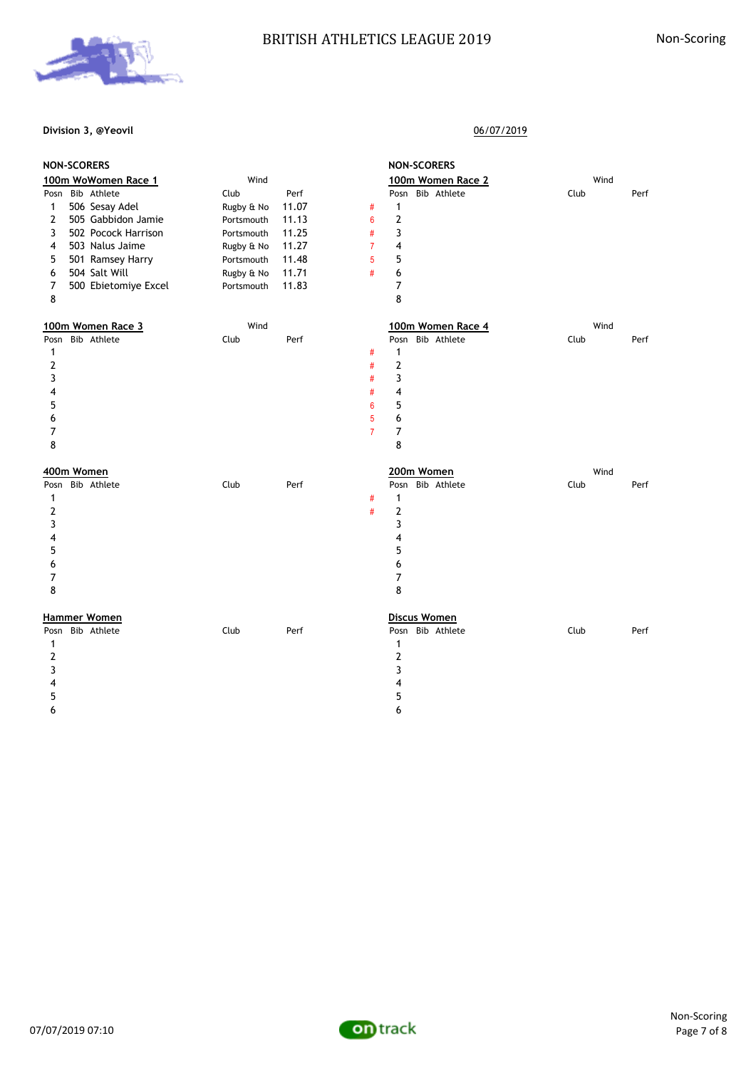# BRITISH ATHLETICS LEAGUE 2019 Non-Scoring



## **Division 3, @Yeovil** 06/07/2019

|                  | <b>NON-SCORERS</b>                 |            |                         | <b>NON-SCORERS</b>                              |      |
|------------------|------------------------------------|------------|-------------------------|-------------------------------------------------|------|
|                  | 100m WoWomen Race 1                | Wind       |                         | 100m Women Race 2                               | Wind |
| Posn             | Bib Athlete                        | Club       | Perf                    | Posn Bib Athlete<br>Club                        | Perf |
| $\mathbf{1}$     | 506 Sesay Adel                     | Rugby & No | 11.07<br>$\#$           | $\mathbf{1}$                                    |      |
| $\overline{2}$   | 505 Gabbidon Jamie                 | Portsmouth | 11.13<br>6              | 2                                               |      |
| 3                | 502 Pocock Harrison                | Portsmouth | $\#$<br>11.25           | 3                                               |      |
| 4                | 503 Nalus Jaime                    | Rugby & No | 11.27<br>$\overline{7}$ | 4                                               |      |
| 5                | 501 Ramsey Harry                   | Portsmouth | 11.48<br>5              | 5                                               |      |
| 6                | 504 Salt Will                      | Rugby & No | 11.71<br>#              | 6                                               |      |
| 7                | 500 Ebietomiye Excel               | Portsmouth | 11.83                   | $\overline{7}$                                  |      |
| 8                |                                    |            |                         | 8                                               |      |
|                  | 100m Women Race 3                  | Wind       |                         | 100m Women Race 4                               | Wind |
| Posn             | Bib Athlete                        | Club       | Perf                    | Posn Bib Athlete<br>Club                        | Perf |
| $\mathbf{1}$     |                                    |            | $\#$                    | $\mathbf{1}$                                    |      |
| $\boldsymbol{2}$ |                                    |            | $\#$                    | $\mathbf{2}$                                    |      |
| 3                |                                    |            | #                       | 3                                               |      |
| 4                |                                    |            | $\#$                    | 4                                               |      |
| 5                |                                    |            | 6                       | 5                                               |      |
| 6                |                                    |            | 5                       | 6                                               |      |
| 7                |                                    |            | $\overline{7}$          | 7                                               |      |
| 8                |                                    |            |                         |                                                 |      |
|                  |                                    |            |                         | 8                                               |      |
|                  |                                    |            |                         |                                                 |      |
|                  | 400m Women                         |            |                         | 200m Women                                      | Wind |
| Posn             | Bib Athlete                        | Club       | Perf                    | Posn Bib Athlete<br>Club                        | Perf |
| 1                |                                    |            | $\#$                    | $\mathbf{1}$                                    |      |
| $\overline{2}$   |                                    |            | $\#$                    | 2                                               |      |
| 3                |                                    |            |                         | 3                                               |      |
| 4                |                                    |            |                         | 4                                               |      |
| 5                |                                    |            |                         | 5                                               |      |
| 6                |                                    |            |                         | 6                                               |      |
| 7                |                                    |            |                         | 7                                               |      |
| 8                |                                    |            |                         | 8                                               |      |
|                  |                                    |            |                         |                                                 |      |
| Posn             | <b>Hammer Women</b><br>Bib Athlete | Club       | Perf                    | <b>Discus Women</b><br>Posn Bib Athlete<br>Club | Perf |
| 1                |                                    |            |                         | $\mathbf{1}$                                    |      |
| 2                |                                    |            |                         | $\mathbf{2}$                                    |      |
| 3                |                                    |            |                         | 3                                               |      |
| 4                |                                    |            |                         | 4                                               |      |
| 5                |                                    |            |                         | 5                                               |      |
| 6                |                                    |            |                         | 6                                               |      |